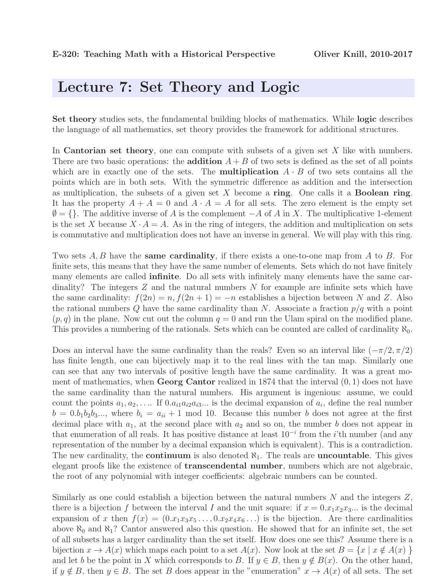## Lecture 7: Set Theory and Logic

Set theory studies sets, the fundamental building blocks of mathematics. While logic describes the language of all mathematics, set theory provides the framework for additional structures.

In **Cantorian set theory**, one can compute with subsets of a given set  $X$  like with numbers. There are two basic operations: the **addition**  $A + B$  of two sets is defined as the set of all points which are in exactly one of the sets. The **multiplication**  $A \cdot B$  of two sets contains all the points which are in both sets. With the symmetric difference as addition and the intersection as multiplication, the subsets of a given set X become a ring. One calls it a **Boolean ring**. It has the property  $A + A = 0$  and  $A \cdot A = A$  for all sets. The zero element is the empty set  $\emptyset = \{\}.$  The additive inverse of A is the complement  $-A$  of A in X. The multiplicative 1-element is the set X because  $X \cdot A = A$ . As in the ring of integers, the addition and multiplication on sets is commutative and multiplication does not have an inverse in general. We will play with this ring.

Two sets  $A, B$  have the **same cardinality**, if there exists a one-to-one map from  $A$  to  $B$ . For finite sets, this means that they have the same number of elements. Sets which do not have finitely many elements are called **infinite**. Do all sets with infinitely many elements have the same cardinality? The integers Z and the natural numbers N for example are infinite sets which have the same cardinality:  $f(2n) = n$ ,  $f(2n + 1) = -n$  establishes a bijection between N and Z. Also the rational numbers  $Q$  have the same cardinality than N. Associate a fraction  $p/q$  with a point  $(p, q)$  in the plane. Now cut out the column  $q = 0$  and run the Ulam spiral on the modified plane. This provides a numbering of the rationals. Sets which can be counted are called of cardinality  $\aleph_0$ .

Does an interval have the same cardinality than the reals? Even so an interval like  $(-\pi/2, \pi/2)$ has finite length, one can bijectively map it to the real lines with the tan map. Similarly one can see that any two intervals of positive length have the same cardinality. It was a great moment of mathematics, when **Georg Cantor** realized in 1874 that the interval  $(0, 1)$  does not have the same cardinality than the natural numbers. His argument is ingenious: assume, we could count the points  $a_1, a_2, \ldots$  If  $0.a_{i1}a_{i2}a_{i3} \ldots$  is the decimal expansion of  $a_i$ , define the real number  $b = 0.b_1b_2b_3...$ , where  $b_i = a_{ii} + 1 \mod 10$ . Because this number b does not agree at the first decimal place with  $a_1$ , at the second place with  $a_2$  and so on, the number b does not appear in that enumeration of all reals. It has positive distance at least  $10^{-i}$  from the *i*'th number (and any representation of the number by a decimal expansion which is equivalent). This is a contradiction. The new cardinality, the **continuum** is also denoted  $\aleph_1$ . The reals are **uncountable**. This gives elegant proofs like the existence of **transcendental number**, numbers which are not algebraic, the root of any polynomial with integer coefficients: algebraic numbers can be counted.

Similarly as one could establish a bijection between the natural numbers N and the integers  $Z$ , there is a bijection f between the interval I and the unit square: if  $x = 0.x_1x_2x_3...$  is the decimal expansion of x then  $f(x) = (0.x_1x_3x_5...,0.x_2x_4x_6...)$  is the bijection. Are there cardinalities above  $\aleph_0$  and  $\aleph_1$ ? Cantor answered also this question. He showed that for an infinite set, the set of all subsets has a larger cardinality than the set itself. How does one see this? Assume there is a bijection  $x \to A(x)$  which maps each point to a set  $A(x)$ . Now look at the set  $B = \{x \mid x \notin A(x)\}\$ and let b be the point in X which corresponds to B. If  $y \in B$ , then  $y \notin B(x)$ . On the other hand, if  $y \notin B$ , then  $y \in B$ . The set B does appear in the "enumeration"  $x \to A(x)$  of all sets. The set